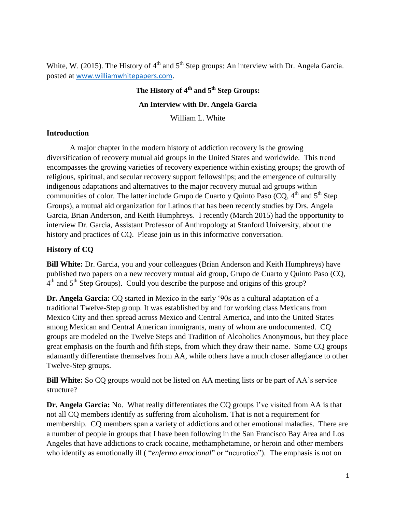White, W. (2015). The History of  $4<sup>th</sup>$  and  $5<sup>th</sup>$  Step groups: An interview with Dr. Angela Garcia. posted at [www.williamwhitepapers.com](http://www.williamwhitepapers.com/).

# **The History of 4 th and 5 th Step Groups: An Interview with Dr. Angela Garcia**

William L. White

#### **Introduction**

A major chapter in the modern history of addiction recovery is the growing diversification of recovery mutual aid groups in the United States and worldwide. This trend encompasses the growing varieties of recovery experience within existing groups; the growth of religious, spiritual, and secular recovery support fellowships; and the emergence of culturally indigenous adaptations and alternatives to the major recovery mutual aid groups within communities of color. The latter include Grupo de Cuarto y Quinto Paso (CQ,  $4<sup>th</sup>$  and  $5<sup>th</sup>$  Step Groups), a mutual aid organization for Latinos that has been recently studies by Drs. Angela Garcia, Brian Anderson, and Keith Humphreys. I recently (March 2015) had the opportunity to interview Dr. Garcia, Assistant Professor of Anthropology at Stanford University, about the history and practices of CQ. Please join us in this informative conversation.

#### **History of CQ**

**Bill White:** Dr. Garcia, you and your colleagues (Brian Anderson and Keith Humphreys) have published two papers on a new recovery mutual aid group, Grupo de Cuarto y Quinto Paso (CQ, 4<sup>th</sup> and 5<sup>th</sup> Step Groups). Could you describe the purpose and origins of this group?

**Dr. Angela Garcia:** CQ started in Mexico in the early '90s as a cultural adaptation of a traditional Twelve-Step group. It was established by and for working class Mexicans from Mexico City and then spread across Mexico and Central America, and into the United States among Mexican and Central American immigrants, many of whom are undocumented. CQ groups are modeled on the Twelve Steps and Tradition of Alcoholics Anonymous, but they place great emphasis on the fourth and fifth steps, from which they draw their name. Some CQ groups adamantly differentiate themselves from AA, while others have a much closer allegiance to other Twelve-Step groups.

**Bill White:** So CQ groups would not be listed on AA meeting lists or be part of AA's service structure?

**Dr. Angela Garcia:** No. What really differentiates the CQ groups I've visited from AA is that not all CQ members identify as suffering from alcoholism. That is not a requirement for membership. CQ members span a variety of addictions and other emotional maladies. There are a number of people in groups that I have been following in the San Francisco Bay Area and Los Angeles that have addictions to crack cocaine, methamphetamine, or heroin and other members who identify as emotionally ill (*"enfermo emocional"* or "neurotico"). The emphasis is not on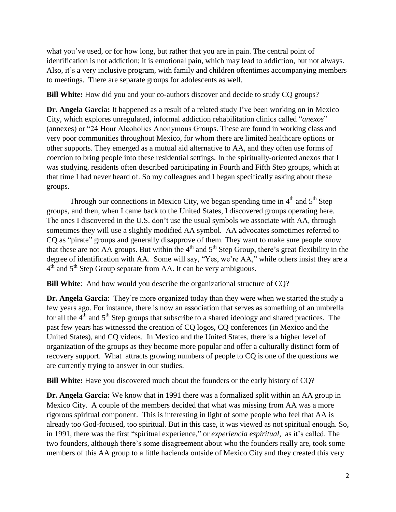what you've used, or for how long, but rather that you are in pain. The central point of identification is not addiction; it is emotional pain, which may lead to addiction, but not always. Also, it's a very inclusive program, with family and children oftentimes accompanying members to meetings. There are separate groups for adolescents as well.

**Bill White:** How did you and your co-authors discover and decide to study CQ groups?

**Dr. Angela Garcia:** It happened as a result of a related study I've been working on in Mexico City, which explores unregulated, informal addiction rehabilitation clinics called "*anexos*" (annexes) or "24 Hour Alcoholics Anonymous Groups. These are found in working class and very poor communities throughout Mexico, for whom there are limited healthcare options or other supports. They emerged as a mutual aid alternative to AA, and they often use forms of coercion to bring people into these residential settings. In the spiritually-oriented anexos that I was studying, residents often described participating in Fourth and Fifth Step groups, which at that time I had never heard of. So my colleagues and I began specifically asking about these groups.

Through our connections in Mexico City, we began spending time in  $4<sup>th</sup>$  and  $5<sup>th</sup>$  Step groups, and then, when I came back to the United States, I discovered groups operating here. The ones I discovered in the U.S. don't use the usual symbols we associate with AA, through sometimes they will use a slightly modified AA symbol. AA advocates sometimes referred to CQ as "pirate" groups and generally disapprove of them. They want to make sure people know that these are not AA groups. But within the  $4<sup>th</sup>$  and  $5<sup>th</sup>$  Step Group, there's great flexibility in the degree of identification with AA. Some will say, "Yes, we're AA," while others insist they are a  $4<sup>th</sup>$  and  $5<sup>th</sup>$  Step Group separate from AA. It can be very ambiguous.

**Bill White**: And how would you describe the organizational structure of CQ?

**Dr. Angela Garcia**: They're more organized today than they were when we started the study a few years ago. For instance, there is now an association that serves as something of an umbrella for all the  $4<sup>th</sup>$  and  $5<sup>th</sup>$  Step groups that subscribe to a shared ideology and shared practices. The past few years has witnessed the creation of CQ logos, CQ conferences (in Mexico and the United States), and CQ videos. In Mexico and the United States, there is a higher level of organization of the groups as they become more popular and offer a culturally distinct form of recovery support. What attracts growing numbers of people to CQ is one of the questions we are currently trying to answer in our studies.

**Bill White:** Have you discovered much about the founders or the early history of CQ?

**Dr. Angela Garcia:** We know that in 1991 there was a formalized split within an AA group in Mexico City. A couple of the members decided that what was missing from AA was a more rigorous spiritual component. This is interesting in light of some people who feel that AA is already too God-focused, too spiritual. But in this case, it was viewed as not spiritual enough. So, in 1991, there was the first "spiritual experience," or *experiencia espiritual,* as it's called. The two founders, although there's some disagreement about who the founders really are, took some members of this AA group to a little hacienda outside of Mexico City and they created this very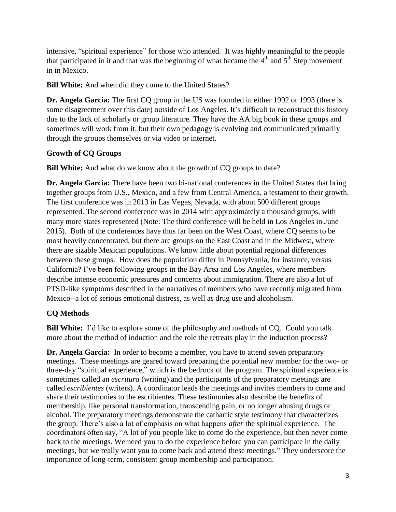intensive, "spiritual experience" for those who attended. It was highly meaningful to the people that participated in it and that was the beginning of what became the  $4<sup>th</sup>$  and  $5<sup>th</sup>$  Step movement in in Mexico.

**Bill White:** And when did they come to the United States?

**Dr. Angela Garcia:** The first CO group in the US was founded in either 1992 or 1993 (there is some disagreement over this date) outside of Los Angeles. It's difficult to reconstruct this history due to the lack of scholarly or group literature. They have the AA big book in these groups and sometimes will work from it, but their own pedagogy is evolving and communicated primarily through the groups themselves or via video or internet.

## **Growth of CQ Groups**

**Bill White:** And what do we know about the growth of CQ groups to date?

**Dr. Angela Garcia:** There have been two bi-national conferences in the United States that bring together groups from U.S., Mexico, and a few from Central America, a testament to their growth. The first conference was in 2013 in Las Vegas, Nevada, with about 500 different groups represented. The second conference was in 2014 with approximately a thousand groups, with many more states represented (Note: The third conference will be held in Los Angeles in June 2015). Both of the conferences have thus far been on the West Coast, where CQ seems to be most heavily concentrated, but there are groups on the East Coast and in the Midwest, where there are sizable Mexican populations. We know little about potential regional differences between these groups. How does the population differ in Pennsylvania, for instance, versus California? I've been following groups in the Bay Area and Los Angeles, where members describe intense economic pressures and concerns about immigration. There are also a lot of PTSD-like symptoms described in the narratives of members who have recently migrated from Mexico--a lot of serious emotional distress, as well as drug use and alcoholism.

## **CQ Methods**

**Bill White:** I'd like to explore some of the philosophy and methods of CQ. Could you talk more about the method of induction and the role the retreats play in the induction process?

**Dr. Angela Garcia:** In order to become a member, you have to attend seven preparatory meetings. These meetings are geared toward preparing the potential new member for the two- or three-day "spiritual experience," which is the bedrock of the program. The spiritual experience is sometimes called an *escritura* (writing) and the participants of the preparatory meetings are called *escribientes* (writers). A coordinator leads the meetings and invites members to come and share their testimonies to the escribientes. These testimonies also describe the benefits of membership, like personal transformation, transcending pain, or no longer abusing drugs or alcohol. The preparatory meetings demonstrate the cathartic style testimony that characterizes the group. There's also a lot of emphasis on what happens *after* the spiritual experience. The coordinators often say, "A lot of you people like to come do the experience, but then never come back to the meetings. We need you to do the experience before you can participate in the daily meetings, but we really want you to come back and attend these meetings." They underscore the importance of long-term, consistent group membership and participation.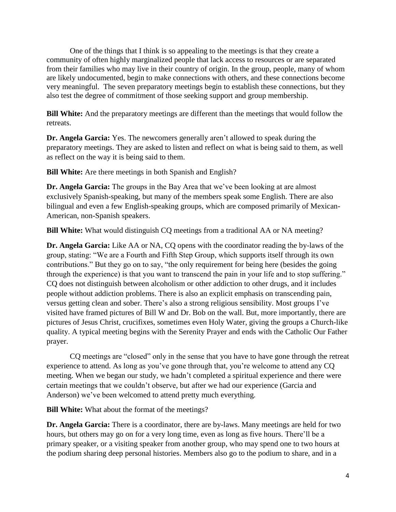One of the things that I think is so appealing to the meetings is that they create a community of often highly marginalized people that lack access to resources or are separated from their families who may live in their country of origin. In the group, people, many of whom are likely undocumented, begin to make connections with others, and these connections become very meaningful. The seven preparatory meetings begin to establish these connections, but they also test the degree of commitment of those seeking support and group membership.

**Bill White:** And the preparatory meetings are different than the meetings that would follow the retreats.

**Dr. Angela Garcia:** Yes. The newcomers generally aren't allowed to speak during the preparatory meetings. They are asked to listen and reflect on what is being said to them, as well as reflect on the way it is being said to them.

**Bill White:** Are there meetings in both Spanish and English?

**Dr. Angela Garcia:** The groups in the Bay Area that we've been looking at are almost exclusively Spanish-speaking, but many of the members speak some English. There are also bilingual and even a few English-speaking groups, which are composed primarily of Mexican-American, non-Spanish speakers.

**Bill White:** What would distinguish CQ meetings from a traditional AA or NA meeting?

**Dr. Angela Garcia:** Like AA or NA, CQ opens with the coordinator reading the by-laws of the group, stating: "We are a Fourth and Fifth Step Group, which supports itself through its own contributions." But they go on to say, "the only requirement for being here (besides the going through the experience) is that you want to transcend the pain in your life and to stop suffering." CQ does not distinguish between alcoholism or other addiction to other drugs, and it includes people without addiction problems. There is also an explicit emphasis on transcending pain, versus getting clean and sober. There's also a strong religious sensibility. Most groups I've visited have framed pictures of Bill W and Dr. Bob on the wall. But, more importantly, there are pictures of Jesus Christ, crucifixes, sometimes even Holy Water, giving the groups a Church-like quality. A typical meeting begins with the Serenity Prayer and ends with the Catholic Our Father prayer.

CQ meetings are "closed" only in the sense that you have to have gone through the retreat experience to attend. As long as you've gone through that, you're welcome to attend any CQ meeting. When we began our study, we hadn't completed a spiritual experience and there were certain meetings that we couldn't observe, but after we had our experience (Garcia and Anderson) we've been welcomed to attend pretty much everything.

**Bill White:** What about the format of the meetings?

**Dr. Angela Garcia:** There is a coordinator, there are by-laws. Many meetings are held for two hours, but others may go on for a very long time, even as long as five hours. There'll be a primary speaker, or a visiting speaker from another group, who may spend one to two hours at the podium sharing deep personal histories. Members also go to the podium to share, and in a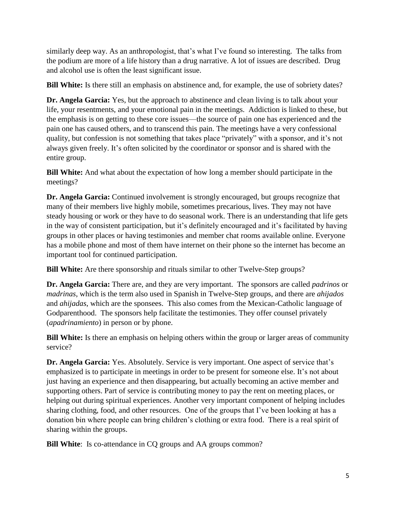similarly deep way. As an anthropologist, that's what I've found so interesting. The talks from the podium are more of a life history than a drug narrative. A lot of issues are described. Drug and alcohol use is often the least significant issue.

**Bill White:** Is there still an emphasis on abstinence and, for example, the use of sobriety dates?

**Dr. Angela Garcia:** Yes, but the approach to abstinence and clean living is to talk about your life, your resentments, and your emotional pain in the meetings. Addiction is linked to these, but the emphasis is on getting to these core issues—the source of pain one has experienced and the pain one has caused others, and to transcend this pain. The meetings have a very confessional quality, but confession is not something that takes place "privately" with a sponsor, and it's not always given freely. It's often solicited by the coordinator or sponsor and is shared with the entire group.

**Bill White:** And what about the expectation of how long a member should participate in the meetings?

**Dr. Angela Garcia:** Continued involvement is strongly encouraged, but groups recognize that many of their members live highly mobile, sometimes precarious, lives. They may not have steady housing or work or they have to do seasonal work. There is an understanding that life gets in the way of consistent participation, but it's definitely encouraged and it's facilitated by having groups in other places or having testimonies and member chat rooms available online. Everyone has a mobile phone and most of them have internet on their phone so the internet has become an important tool for continued participation.

**Bill White:** Are there sponsorship and rituals similar to other Twelve-Step groups?

**Dr. Angela Garcia:** There are, and they are very important. The sponsors are called *padrinos* or *madrinas*, which is the term also used in Spanish in Twelve-Step groups, and there are *ahijados* and *ahijadas*, which are the sponsees. This also comes from the Mexican-Catholic language of Godparenthood. The sponsors help facilitate the testimonies. They offer counsel privately (*apadrinamiento*) in person or by phone.

**Bill White:** Is there an emphasis on helping others within the group or larger areas of community service?

**Dr. Angela Garcia:** Yes. Absolutely. Service is very important. One aspect of service that's emphasized is to participate in meetings in order to be present for someone else. It's not about just having an experience and then disappearing, but actually becoming an active member and supporting others. Part of service is contributing money to pay the rent on meeting places, or helping out during spiritual experiences. Another very important component of helping includes sharing clothing, food, and other resources. One of the groups that I've been looking at has a donation bin where people can bring children's clothing or extra food. There is a real spirit of sharing within the groups.

**Bill White**: Is co-attendance in CQ groups and AA groups common?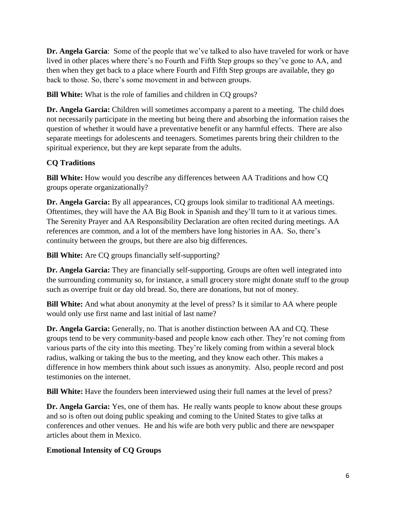**Dr. Angela Garcia**: Some of the people that we've talked to also have traveled for work or have lived in other places where there's no Fourth and Fifth Step groups so they've gone to AA, and then when they get back to a place where Fourth and Fifth Step groups are available, they go back to those. So, there's some movement in and between groups.

**Bill White:** What is the role of families and children in CQ groups?

**Dr. Angela Garcia:** Children will sometimes accompany a parent to a meeting. The child does not necessarily participate in the meeting but being there and absorbing the information raises the question of whether it would have a preventative benefit or any harmful effects. There are also separate meetings for adolescents and teenagers. Sometimes parents bring their children to the spiritual experience, but they are kept separate from the adults.

## **CQ Traditions**

**Bill White:** How would you describe any differences between AA Traditions and how CQ groups operate organizationally?

**Dr. Angela Garcia:** By all appearances, CQ groups look similar to traditional AA meetings. Oftentimes, they will have the AA Big Book in Spanish and they'll turn to it at various times. The Serenity Prayer and AA Responsibility Declaration are often recited during meetings. AA references are common, and a lot of the members have long histories in AA. So, there's continuity between the groups, but there are also big differences.

**Bill White:** Are CQ groups financially self-supporting?

**Dr. Angela Garcia:** They are financially self-supporting. Groups are often well integrated into the surrounding community so, for instance, a small grocery store might donate stuff to the group such as overripe fruit or day old bread. So, there are donations, but not of money.

**Bill White:** And what about anonymity at the level of press? Is it similar to AA where people would only use first name and last initial of last name?

**Dr. Angela Garcia:** Generally, no. That is another distinction between AA and CQ. These groups tend to be very community-based and people know each other. They're not coming from various parts of the city into this meeting. They're likely coming from within a several block radius, walking or taking the bus to the meeting, and they know each other. This makes a difference in how members think about such issues as anonymity. Also, people record and post testimonies on the internet.

**Bill White:** Have the founders been interviewed using their full names at the level of press?

**Dr. Angela Garcia:** Yes, one of them has. He really wants people to know about these groups and so is often out doing public speaking and coming to the United States to give talks at conferences and other venues. He and his wife are both very public and there are newspaper articles about them in Mexico.

## **Emotional Intensity of CQ Groups**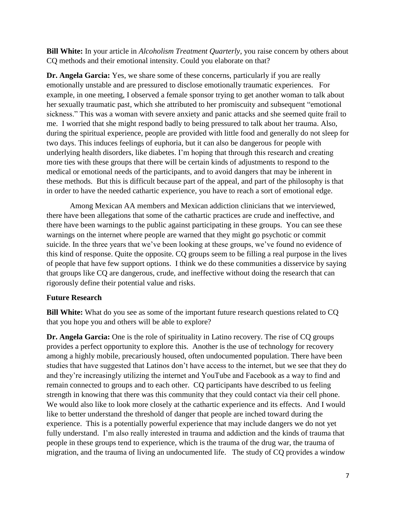**Bill White:** In your article in *Alcoholism Treatment Quarterly*, you raise concern by others about CQ methods and their emotional intensity. Could you elaborate on that?

**Dr. Angela Garcia:** Yes, we share some of these concerns, particularly if you are really emotionally unstable and are pressured to disclose emotionally traumatic experiences. For example, in one meeting, I observed a female sponsor trying to get another woman to talk about her sexually traumatic past, which she attributed to her promiscuity and subsequent "emotional sickness." This was a woman with severe anxiety and panic attacks and she seemed quite frail to me. I worried that she might respond badly to being pressured to talk about her trauma. Also, during the spiritual experience, people are provided with little food and generally do not sleep for two days. This induces feelings of euphoria, but it can also be dangerous for people with underlying health disorders, like diabetes. I'm hoping that through this research and creating more ties with these groups that there will be certain kinds of adjustments to respond to the medical or emotional needs of the participants, and to avoid dangers that may be inherent in these methods. But this is difficult because part of the appeal, and part of the philosophy is that in order to have the needed cathartic experience, you have to reach a sort of emotional edge.

Among Mexican AA members and Mexican addiction clinicians that we interviewed, there have been allegations that some of the cathartic practices are crude and ineffective, and there have been warnings to the public against participating in these groups. You can see these warnings on the internet where people are warned that they might go psychotic or commit suicide. In the three years that we've been looking at these groups, we've found no evidence of this kind of response. Quite the opposite. CQ groups seem to be filling a real purpose in the lives of people that have few support options. I think we do these communities a disservice by saying that groups like CQ are dangerous, crude, and ineffective without doing the research that can rigorously define their potential value and risks.

#### **Future Research**

**Bill White:** What do you see as some of the important future research questions related to CQ that you hope you and others will be able to explore?

**Dr. Angela Garcia:** One is the role of spirituality in Latino recovery. The rise of CQ groups provides a perfect opportunity to explore this. Another is the use of technology for recovery among a highly mobile, precariously housed, often undocumented population. There have been studies that have suggested that Latinos don't have access to the internet, but we see that they do and they're increasingly utilizing the internet and YouTube and Facebook as a way to find and remain connected to groups and to each other. CQ participants have described to us feeling strength in knowing that there was this community that they could contact via their cell phone. We would also like to look more closely at the cathartic experience and its effects. And I would like to better understand the threshold of danger that people are inched toward during the experience. This is a potentially powerful experience that may include dangers we do not yet fully understand. I'm also really interested in trauma and addiction and the kinds of trauma that people in these groups tend to experience, which is the trauma of the drug war, the trauma of migration, and the trauma of living an undocumented life. The study of CQ provides a window